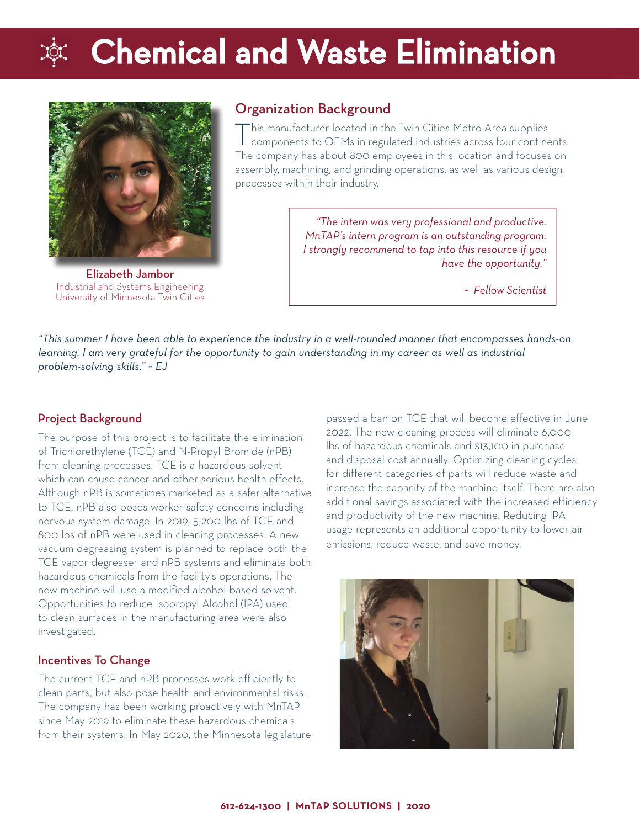# **Chemical and Waste Elimination**



Elizabeth Jambor Industrial and Systems Engineering University of Minnesota Twin Cities

### Organization Background

 $\Gamma$ his manufacturer located in the Twin Cities Metro Area supplies components to OEMs in regulated industries across four continents. The company has about 800 employees in this location and focuses on assembly, machining, and grinding operations, as well as various design processes within their industry.

> *"The intern was very professional and productive. MnTAP's intern program is an outstanding program. I strongly recommend to tap into this resource if you have the opportunity."*

> > *~ Fellow Scientist*

*"This summer I have been able to experience the industry in a well-rounded manner that encompasses hands-on learning. I am very grateful for the opportunity to gain understanding in my career as well as industrial problem-solving skills." ~ EJ*

### Project Background

The purpose of this project is to facilitate the elimination of Trichlorethylene (TCE) and N-Propyl Bromide (nPB) from cleaning processes. TCE is a hazardous solvent which can cause cancer and other serious health effects. Although nPB is sometimes marketed as a safer alternative to TCE, nPB also poses worker safety concerns including nervous system damage. In 2019, 5,200 lbs of TCE and 800 lbs of nPB were used in cleaning processes. A new vacuum degreasing system is planned to replace both the TCE vapor degreaser and nPB systems and eliminate both hazardous chemicals from the facility's operations. The new machine will use a modified alcohol-based solvent. Opportunities to reduce Isopropyl Alcohol (IPA) used to clean surfaces in the manufacturing area were also investigated.

#### Incentives To Change

The current TCE and nPB processes work efficiently to clean parts, but also pose health and environmental risks. The company has been working proactively with MnTAP since May 2019 to eliminate these hazardous chemicals from their systems. In May 2020, the Minnesota legislature passed a ban on TCE that will become effective in June 2022. The new cleaning process will eliminate 6,000 lbs of hazardous chemicals and \$13,100 in purchase and disposal cost annually. Optimizing cleaning cycles for different categories of parts will reduce waste and increase the capacity of the machine itself. There are also additional savings associated with the increased efficiency and productivity of the new machine. Reducing IPA usage represents an additional opportunity to lower air emissions, reduce waste, and save money.